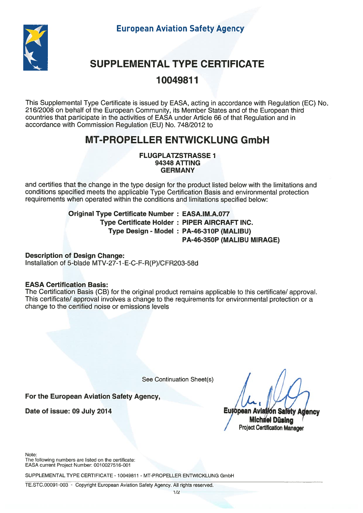European Aviation Safety Agency



# SUPPLEMENTAL TYPE CERTIFICATE

### 10049811

This Supplemental Type Certificate is issued by EASA, acting in accordance with Regulation (EC) No. 216/2008 on behalf of the European Community, its Member States and of the European third countries that participate in the activities of EASA under Article <sup>66</sup> of that Regulation and in accordance with Commission Regulation (EU) No. 748/2012 to

## MT-PROPELLER ENTWICKLUNG GmbH

FLUGPLATZSTRASSE 7 **94348 ATTING** GERMANY

and certifies that the change in the type design for the product listed below with the limitations and conditions specified meets the applicable Type Certification Basis and environmental protection requirements when operated within the conditions and limitations specified below:

> Original Type Certificate Number : EASA.IM.A.077 Type Certificate Holder : PIPER AIRCRAFT INC. Type Design - Model : PA-46-310P (MALIBU) PA-46-350P (MALIBU MIRAGE)

Description of Design Change: Installation of 5-blade MTV-27-1-E-C-F-R(P)/CFR203-58d

### EASA Certification Basis:

The Certification Basis (CB) for the original product remains applicable to this certificate/ approval. This certificate/ approval involves a change to the requirements for environmental protection or a change to the certified noise or emissions levels

See Continuation Sheet(s)

For the European Aviation Safety Agency,

Date of issue: 09 July 2014

Eutópean Avlation Safety Adency **Michael Düsing** Project Certification Manager

Note:

The following numbers are listed on the certificate: EASA current Project Number: 001 0027516-001

SUPPLEMENTAL TYPE CERTIFICATE - 10049811 - MT-PROPELLER ENTWICKLUNG GmbH

TE.STC.00091 -003 - Copyright European Aviation Safety Agency. All rights reserved.